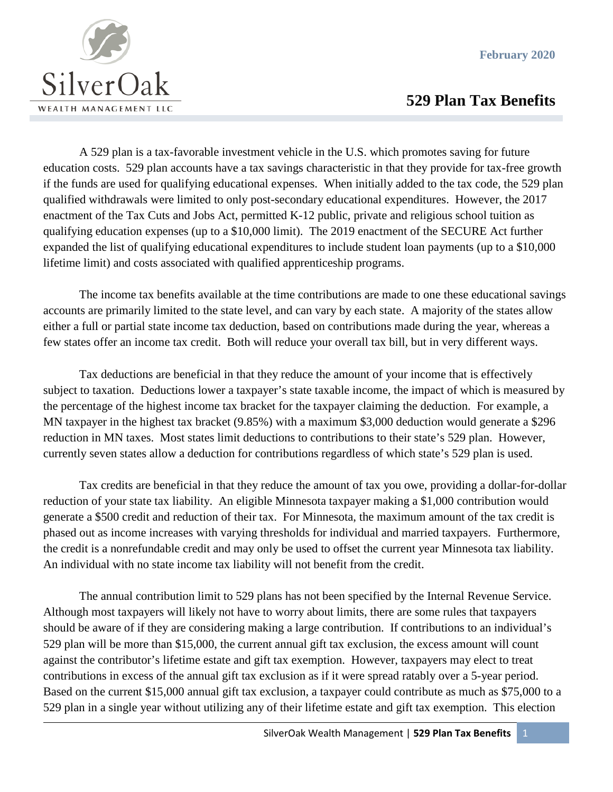**February 2020**



## **529 Plan Tax Benefits**

A 529 plan is a tax-favorable investment vehicle in the U.S. which promotes saving for future education costs. 529 plan accounts have a tax savings characteristic in that they provide for tax-free growth if the funds are used for qualifying educational expenses. When initially added to the tax code, the 529 plan qualified withdrawals were limited to only post-secondary educational expenditures. However, the 2017 enactment of the Tax Cuts and Jobs Act, permitted K-12 public, private and religious school tuition as qualifying education expenses (up to a \$10,000 limit). The 2019 enactment of the SECURE Act further expanded the list of qualifying educational expenditures to include student loan payments (up to a \$10,000 lifetime limit) and costs associated with qualified apprenticeship programs.

The income tax benefits available at the time contributions are made to one these educational savings accounts are primarily limited to the state level, and can vary by each state. A majority of the states allow either a full or partial state income tax deduction, based on contributions made during the year, whereas a few states offer an income tax credit. Both will reduce your overall tax bill, but in very different ways.

Tax deductions are beneficial in that they reduce the amount of your income that is effectively subject to taxation. Deductions lower a taxpayer's state taxable income, the impact of which is measured by the percentage of the highest income tax bracket for the taxpayer claiming the deduction. For example, a MN taxpayer in the highest tax bracket (9.85%) with a maximum \$3,000 deduction would generate a \$296 reduction in MN taxes. Most states limit deductions to contributions to their state's 529 plan. However, currently seven states allow a deduction for contributions regardless of which state's 529 plan is used.

Tax credits are beneficial in that they reduce the amount of tax you owe, providing a dollar-for-dollar reduction of your state tax liability. An eligible Minnesota taxpayer making a \$1,000 contribution would generate a \$500 credit and reduction of their tax. For Minnesota, the maximum amount of the tax credit is phased out as income increases with varying thresholds for individual and married taxpayers. Furthermore, the credit is a nonrefundable credit and may only be used to offset the current year Minnesota tax liability. An individual with no state income tax liability will not benefit from the credit.

The annual contribution limit to 529 plans has not been specified by the Internal Revenue Service. Although most taxpayers will likely not have to worry about limits, there are some rules that taxpayers should be aware of if they are considering making a large contribution. If contributions to an individual's 529 plan will be more than \$15,000, the current annual gift tax exclusion, the excess amount will count against the contributor's lifetime estate and gift tax exemption. However, taxpayers may elect to treat contributions in excess of the annual gift tax exclusion as if it were spread ratably over a 5-year period. Based on the current \$15,000 annual gift tax exclusion, a taxpayer could contribute as much as \$75,000 to a 529 plan in a single year without utilizing any of their lifetime estate and gift tax exemption. This election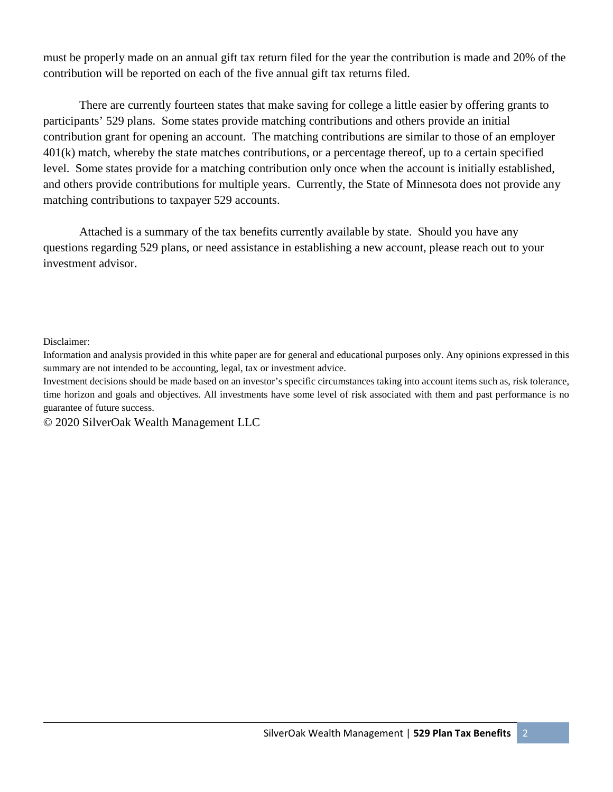must be properly made on an annual gift tax return filed for the year the contribution is made and 20% of the contribution will be reported on each of the five annual gift tax returns filed.

There are currently fourteen states that make saving for college a little easier by offering grants to participants' 529 plans. Some states provide matching contributions and others provide an initial contribution grant for opening an account. The matching contributions are similar to those of an employer 401(k) match, whereby the state matches contributions, or a percentage thereof, up to a certain specified level. Some states provide for a matching contribution only once when the account is initially established, and others provide contributions for multiple years. Currently, the State of Minnesota does not provide any matching contributions to taxpayer 529 accounts.

Attached is a summary of the tax benefits currently available by state. Should you have any questions regarding 529 plans, or need assistance in establishing a new account, please reach out to your investment advisor.

Disclaimer:

Information and analysis provided in this white paper are for general and educational purposes only. Any opinions expressed in this summary are not intended to be accounting, legal, tax or investment advice.

Investment decisions should be made based on an investor's specific circumstances taking into account items such as, risk tolerance, time horizon and goals and objectives. All investments have some level of risk associated with them and past performance is no guarantee of future success.

© 2020 SilverOak Wealth Management LLC